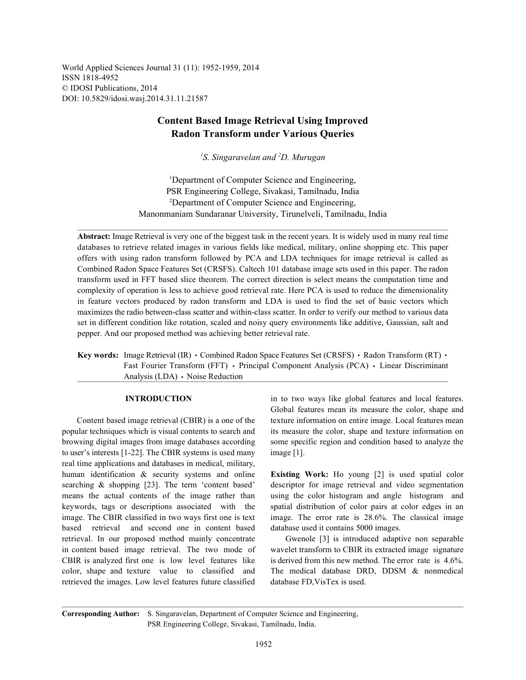World Applied Sciences Journal 31 (11): 1952-1959, 2014 ISSN 1818-4952 © IDOSI Publications, 2014 DOI: 10.5829/idosi.wasj.2014.31.11.21587

# **Content Based Image Retrieval Using Improved Radon Transform under Various Queries**

<sup>1</sup>S. Singaravelan and <sup>2</sup>D. Murugan

<sup>1</sup>Department of Computer Science and Engineering, PSR Engineering College, Sivakasi, Tamilnadu, India <sup>2</sup>Department of Computer Science and Engineering, Manonmaniam Sundaranar University, Tirunelveli, Tamilnadu, India

**Abstract:** Image Retrieval is very one of the biggest task in the recent years. It is widely used in many real time databases to retrieve related images in various fields like medical, military, online shopping etc. This paper offers with using radon transform followed by PCA and LDA techniques for image retrieval is called as Combined Radon Space Features Set (CRSFS). Caltech 101 database image sets used in this paper. The radon transform used in FFT based slice theorem. The correct direction is select means the computation time and complexity of operation is less to achieve good retrieval rate. Here PCA is used to reduce the dimensionality in feature vectors produced by radon transform and LDA is used to find the set of basic vectors which maximizes the radio between-class scatter and within-class scatter. In order to verify our method to various data set in different condition like rotation, scaled and noisy query environments like additive, Gaussian, salt and pepper. And our proposed method was achieving better retrieval rate.

**Key words:** Image Retrieval (IR) Combined Radon Space Features Set (CRSFS) All Radon Transform (RT) All Research Fig. 2. Fast Fourier Transform (FFT) • Principal Component Analysis (PCA) • Linear Discriminant Analysis (LDA) · Noise Reduction

popular techniques which is visual contents to search and its measure the color, shape and texture information on browsing digital images from image databases according some specific region and condition based to analyze the to user's interests [1-22]. The CBIR systems is used many image [1]. real time applications and databases in medical, military, human identification & security systems and online **Existing Work:** Ho young [2] is used spatial color searching & shopping [23]. The term 'content based' descriptor for image retrieval and video segmentation means the actual contents of the image rather than using the color histogram and angle histogram and keywords, tags or descriptions associated with the spatial distribution of color pairs at color edges in an image. The CBIR classified in two ways first one is text image. The error rate is 28.6%. The classical image based retrieval and second one in content based database used it contains 5000 images. retrieval. In our proposed method mainly concentrate Gwenole [3] is introduced adaptive non separable in content based image retrieval. The two mode of wavelet transform to CBIR its extracted image signature CBIR is analyzed first one is low level features like is derived from this new method. The error rate is 4.6%. color, shape and texture value to classified and The medical database DRD, DDSM & nonmedical retrieved the images. Low level features future classified database FD,VisTex is used.

**INTRODUCTION** in to two ways like global features and local features. Content based image retrieval (CBIR) is a one of the texture information on entire image. Local features mean Global features mean its measure the color, shape and

**Corresponding Author:** S. Singaravelan, Department of Computer Science and Engineering, PSR Engineering College, Sivakasi, Tamilnadu, India.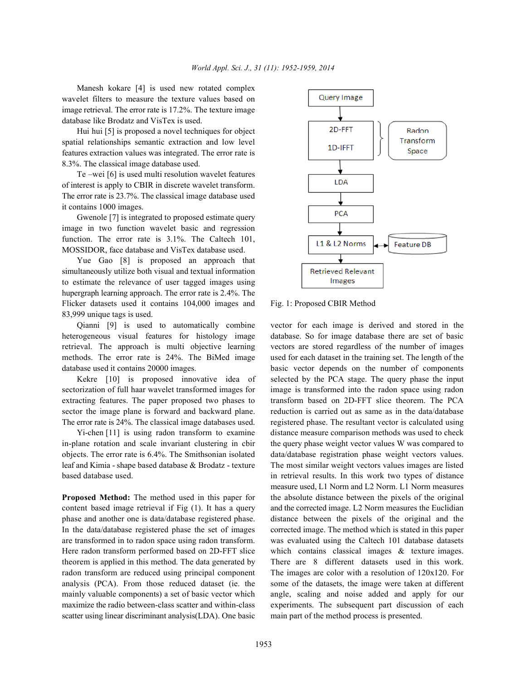Manesh kokare [4] is used new rotated complex wavelet filters to measure the texture values based on image retrieval. The error rate is 17.2%. The texture image database like Brodatz and VisTex is used.

Hui hui [5] is proposed a novel techniques for object spatial relationships semantic extraction and low level features extraction values was integrated. The error rate is 8.3%. The classical image database used.

Te –wei [6] is used multi resolution wavelet features of interest is apply to CBIR in discrete wavelet transform. The error rate is 23.7%. The classical image database used it contains 1000 images.

Gwenole [7] is integrated to proposed estimate query image in two function wavelet basic and regression function. The error rate is 3.1%. The Caltech 101, MOSSIDOR, face database and VisTex database used.

Yue Gao [8] is proposed an approach that simultaneously utilize both visual and textual information to estimate the relevance of user tagged images using hupergraph learning approach. The error rate is 2.4%. The Flicker datasets used it contains 104,000 images and Fig. 1: Proposed CBIR Method 83,999 unique tags is used.

heterogeneous visual features for histology image database. So for image database there are set of basic retrieval. The approach is multi objective learning vectors are stored regardless of the number of images methods. The error rate is 24%. The BiMed image used for each dataset in the training set. The length of the database used it contains 20000 images. basic vector depends on the number of components

sectorization of full haar wavelet transformed images for image is transformed into the radon space using radon extracting features. The paper proposed two phases to transform based on 2D-FFT slice theorem. The PCA sector the image plane is forward and backward plane. reduction is carried out as same as in the data/database The error rate is 24%. The classical image databases used. registered phase. The resultant vector is calculated using

in-plane rotation and scale invariant clustering in cbir the query phase weight vector values W was compared to objects. The error rate is 6.4%. The Smithsonian isolated data/database registration phase weight vectors values. leaf and Kimia - shape based database & Brodatz - texture The most similar weight vectors values images are listed based database used. in retrieval results. In this work two types of distance

content based image retrieval if Fig (1). It has a query and the corrected image. L2 Norm measures the Euclidian phase and another one is data/database registered phase. distance between the pixels of the original and the In the data/database registered phase the set of images corrected image. The method which is stated in this paper are transformed in to radon space using radon transform. was evaluated using the Caltech 101 database datasets Here radon transform performed based on 2D-FFT slice which contains classical images & texture images. theorem is applied in this method. The data generated by There are 8 different datasets used in this work. radon transform are reduced using principal component The images are color with a resolution of 120x120. For analysis (PCA). From those reduced dataset (ie. the some of the datasets, the image were taken at different mainly valuable components) a set of basic vector which angle, scaling and noise added and apply for our maximize the radio between-class scatter and within-class experiments. The subsequent part discussion of each scatter using linear discriminant analysis(LDA). One basic main part of the method process is presented.



Qianni [9] is used to automatically combine vector for each image is derived and stored in the Kekre [10] is proposed innovative idea of selected by the PCA stage. The query phase the input Yi-chen [11] is using radon transform to examine distance measure comparison methods was used to check **Proposed Method:** The method used in this paper for the absolute distance between the pixels of the original measure used, L1 Norm and L2 Norm. L1 Norm measures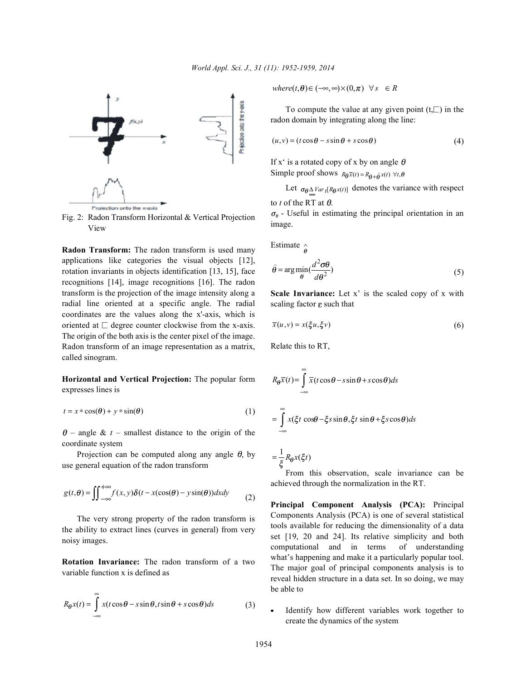

Fig. 2: Radon Transform Horizontal & Vertical Projection View

**Radon Transform:** The radon transform is used many applications like categories the visual objects [12], rotation invariants in objects identification [13, 15], face recognitions [14], image recognitions [16]. The radon transform is the projection of the image intensity along a radial line oriented at a specific angle. The radial coordinates are the values along the x'-axis, which is oriented at  $\Box$  degree counter clockwise from the x-axis. The origin of the both axis is the center pixel of the image. Radon transform of an image representation as a matrix, called sinogram.

**Horizontal and Vertical Projection:** The popular form expresses lines is

$$
t = x * \cos(\theta) + y * \sin(\theta)
$$
 (1)

 $\theta$  – angle & t – smallest distance to the origin of the coordinate system

Projection can be computed along any angle  $\theta$ , by use general equation of the radon transform

$$
g(t,\theta) = \iint_{-\infty}^{+\infty} f(x,y)\delta(t - x(\cos(\theta) - y\sin(\theta))dxdy \tag{2}
$$

The very strong property of the radon transform is the ability to extract lines (curves in general) from very noisy images.

**Rotation Invariance:** The radon transform of a two variable function x is defined as

$$
R_{\theta}x(t) = \int_{-\infty}^{\infty} x(t\cos\theta - s\sin\theta, t\sin\theta + s\cos\theta)ds
$$
 (3)

 $where(t, \theta) \in (-\infty, \infty) \times (0, \pi) \quad \forall s \in R$ 

To compute the value at any given point  $(t,\Box)$  in the radon domain by integrating along the line:

$$
(u, v) = (t \cos \theta - s \sin \theta + s \cos \theta)
$$
 (4)

Simple proof shows  $R_{\theta} \bar{x}(t) = R_{\theta + \hat{\theta}} x(t) \ \forall t$ , If x' is a rotated copy of x by on angle  $\theta$ 

Let  $\sigma_{\theta} \Delta \text{Var}_{t}[R_{\theta} \textbf{x}(t)]$  denotes the variance with respect to *t* of the RT at  $\theta$ .

 $\sigma_{\theta}$  - Useful in estimating the principal orientation in an image.

Estimate  $\hat{\mathbb{R}}$ 

$$
\hat{\theta} = \arg\min_{\theta} \left( \frac{d^2 \sigma \theta}{d\theta^2} \right) \tag{5}
$$

**Scale Invariance:** Let x' is the scaled copy of x with scaling factor  $\varepsilon$  such that

$$
\overline{x}(u,v) = x(\xi u, \xi v) \tag{6}
$$

Relate this to RT,

$$
R_{\theta}\overline{x}(t) = \int_{-\infty}^{\infty} \overline{x}(t\cos\theta - s\sin\theta + s\cos\theta)ds
$$

$$
= \int_{-\infty}^{\infty} x(\xi t\cos\theta - \xi s\sin\theta, \xi t\sin\theta + \xi s\cos\theta)ds
$$

 $=\frac{1}{\varepsilon}R_{\theta}x(\xi t)$ 

From this observation, scale invariance can be achieved through the normalization in the RT.

**Principal Component Analysis (PCA):** Principal Components Analysis (PCA) is one of several statistical tools available for reducing the dimensionality of a data set [19, 20 and 24]. Its relative simplicity and both computational and in terms of understanding what's happening and make it a particularly popular tool. The major goal of principal components analysis is to reveal hidden structure in a data set. In so doing, we may be able to

Identify how different variables work together to create the dynamics of the system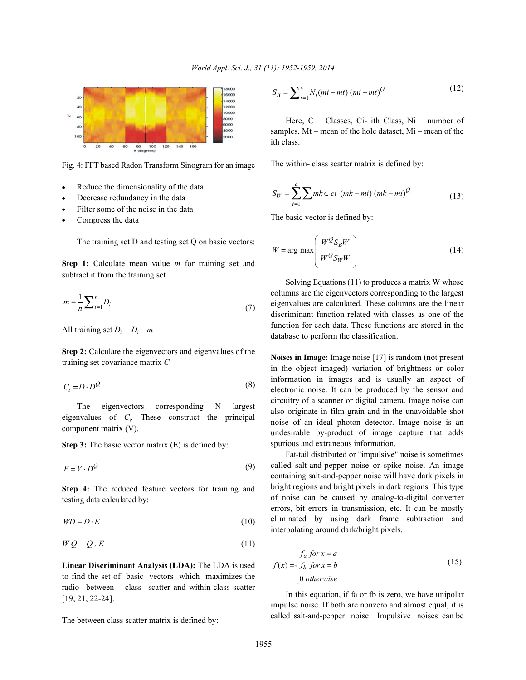

Fig. 4: FFT based Radon Transform Sinogram for an image

- Reduce the dimensionality of the data
- Decrease redundancy in the data
- Filter some of the noise in the data
- Compress the data

The training set D and testing set Q on basic vectors:

**Step 1:** Calculate mean value *m* for training set and subtract it from the training set

$$
m = \frac{1}{n} \sum_{i=1}^{n} D_i
$$
\n<sup>(7)</sup>

All training set  $D_i = D_i - m$ 

**Step 2:** Calculate the eigenvectors and eigenvalues of the training set covariance matrix *Ci*

$$
C_t = D \cdot D^Q \tag{8}
$$

The eigenvectors corresponding N largest eigenvalues of *C*. These construct the principal *<sup>i</sup>* component matrix (V).

**Step 3:** The basic vector matrix (E) is defined by:

$$
E = V \cdot D^Q \tag{9}
$$

**Step 4:** The reduced feature vectors for training and testing data calculated by:

$$
WD = D \cdot E \tag{10}
$$

$$
WQ = Q \cdot E \tag{11}
$$

**Linear Discriminant Analysis (LDA):** The LDA is used to find the set of basic vectors which maximizes the radio between –class scatter and within-class scatter [19, 21, 22-24].

The between class scatter matrix is defined by:

$$
S_B = \sum_{i=1}^{c} N_i (mi - mt) (mi - mt)^{Q}
$$
 (12)

Here, C – Classes, Ci- ith Class, Ni – number of samples, Mt – mean of the hole dataset, Mi – mean of the ith class.

The within- class scatter matrix is defined by:

$$
S_W = \sum_{i=1}^{c} \sum mk \in ci \ (mk - mi) \ (mk - mi)^Q \tag{13}
$$

The basic vector is defined by:

$$
W = \arg \max \left( \frac{\left| W^{\mathcal{Q}} S_B W \right|}{\left| W^{\mathcal{Q}} S_W W \right|} \right) \tag{14}
$$

Solving Equations (11) to produces a matrix W whose columns are the eigenvectors corresponding to the largest eigenvalues are calculated. These columns are the linear discriminant function related with classes as one of the function for each data. These functions are stored in the database to perform the classification.

**Noises in Image:** Image noise [17] is random (not present in the object imaged) variation of brightness or color information in images and is usually an aspect of electronic noise. It can be produced by the sensor and circuitry of a scanner or digital camera. Image noise can also originate in film grain and in the unavoidable shot noise of an ideal photon detector. Image noise is an undesirable by-product of image capture that adds spurious and extraneous information.

Fat-tail distributed or "impulsive" noise is sometimes called salt-and-pepper noise or spike noise. An image containing salt-and-pepper noise will have dark pixels in bright regions and bright pixels in dark regions. This type of noise can be caused by analog-to-digital converter errors, bit errors in transmission, etc. It can be mostly eliminated by using dark frame subtraction and interpolating around dark/bright pixels.

$$
f(x) = \begin{cases} f_a \text{ for } x = a \\ f_b \text{ for } x = b \\ 0 \text{ otherwise} \end{cases}
$$
 (15)

In this equation, if fa or fb is zero, we have unipolar impulse noise. If both are nonzero and almost equal, it is called salt-and-pepper noise. Impulsive noises can be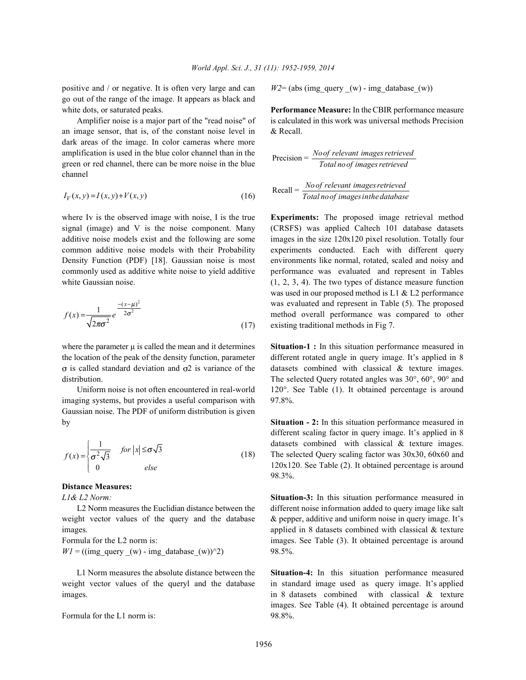positive and / or negative. It is often very large and can  $W2 = (abs (img query (w) - img database (w))$ go out of the range of the image. It appears as black and white dots, or saturated peaks. **Performance Measure:** In the CBIR performance measure

an image sensor, that is, of the constant noise level in & Recall. dark areas of the image. In color cameras where more amplification is used in the blue color channel than in the green or red channel, there can be more noise in the blue channel

$$
I_V(x, y) = I(x, y) + V(x, y)
$$
\n(16)

where Iv is the observed image with noise, I is the true **Experiments:** The proposed image retrieval method signal (image) and V is the noise component. Many (CRSFS) was applied Caltech 101 database datasets additive noise models exist and the following are some images in the size 120x120 pixel resolution. Totally four common additive noise models with their Probability experiments conducted. Each with different query Density Function (PDF) [18]. Gaussian noise is most environments like normal, rotated, scaled and noisy and commonly used as additive white noise to yield additive performance was evaluated and represent in Tables white Gaussian noise. (1, 2, 3, 4). The two types of distance measure function

$$
f(x) = \frac{1}{\sqrt{2\pi\sigma^2}} e^{-\frac{-(x-\mu)^2}{2\sigma^2}}
$$
 (17)

imaging systems, but provides a useful comparison with 97.8%. Gaussian noise. The PDF of uniform distribution is given by **Situation - 2:** In this situation performance measured in

$$
f(x) = \begin{cases} \frac{1}{\sigma^2 \sqrt{3}} & \text{for } |x| \le \sigma \sqrt{3} \\ 0 & \text{else} \end{cases}
$$
(18)

# **Distance Measures:**

weight vector values of the query and the database & pepper, additive and uniform noise in query image. It's images. applied in 8 datasets combined with classical & texture

 $W1 = ((img\_query_ (w) - img\_database_ (w))^2)$  98.5%.

weight vector values of the queryl and the database in standard image used as query image. It's applied images. in 8 datasets combined with classical & texture

Formula for the L1 norm is:\n
$$
98.8\%.
$$

Amplifier noise is a major part of the "read noise" of is calculated in this work was universal methods Precision

$$
Precision = \frac{No \text{ of relevant images retrieved}}{Total \text{ no of images retrieved}}
$$

$$
Recall = \frac{No \text{ of relevant images retrieved}}{Total \text{ no of images in the database}}
$$

was evaluated and represent in Table (5). The proposed existing traditional methods in Fig 7. was used in our proposed method is L1 & L2 performance method overall performance was compared to other

where the parameter  $\mu$  is called the mean and it determines **Situation-1** : In this situation performance measured in the location of the peak of the density function, parameter different rotated angle in query image. It's applied in 8  $\sigma$  is called standard deviation and  $\sigma$ 2 is variance of the datasets combined with classical & texture images. distribution. The selected Query rotated angles was 30°, 60°, 90° and Uniform noise is not often encountered in real-world  $120^\circ$ . See Table (1). It obtained percentage is around

> datasets combined with classical & texture images. The selected Query scaling factor was  $30x30$ ,  $60x60$  and different scaling factor in query image. It's applied in 8 120x120. See Table (2). It obtained percentage is around 98.3%.

*L1& L2 Norm:* **Situation-3:** In this situation performance measured in L2 Norm measures the Euclidian distance between the different noise information added to query image like salt Formula for the L2 norm is: images. See Table (3). It obtained percentage is around

L1 Norm measures the absolute distance between the **Situation-4:** In this situation performance measured images. See Table (4). It obtained percentage is around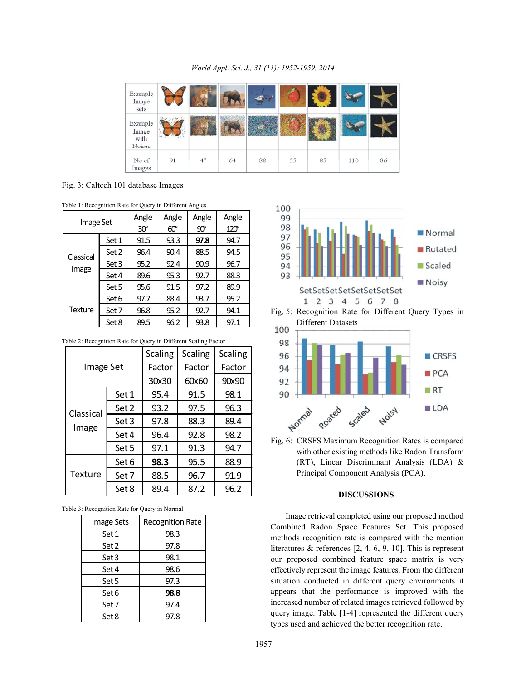*World Appl. Sci. J., 31 (11): 1952-1959, 2014*

| Example<br>Image<br>sets           |                  |    |    |    |    |    |     |    |
|------------------------------------|------------------|----|----|----|----|----|-----|----|
| Example<br>Image<br>with<br>Noises | $4 + 4$<br>Tarif |    |    |    |    |    |     |    |
| No of<br>Images                    | 91               | 47 | 64 | 88 | 35 | 85 | 110 | 86 |

Fig. 3: Caltech 101 database Images

|  | Table 1: Recognition Rate for Query in Different Angles |
|--|---------------------------------------------------------|
|--|---------------------------------------------------------|

| <b>Image Set</b>   |       | Angle<br>$30^\circ$ | Angle<br>$60^\circ$ | Angle<br>$90^{\circ}$ | Angle<br>$120^\circ$ |
|--------------------|-------|---------------------|---------------------|-----------------------|----------------------|
| Classical<br>Image | Set 1 | 91.5                | 93.3                | 97.8                  | 94.7                 |
|                    | Set 2 | 96.4                | 90.4                | 88.5                  | 94.5                 |
|                    | Set 3 | 95.2                | 92.4                | 90.9                  | 96.7                 |
|                    | Set 4 | 89.6                | 95.3                | 92.7                  | 88.3                 |
|                    | Set 5 | 95.6                | 91.5                | 97.2                  | 89.9                 |
| <b>Texture</b>     | Set 6 | 97.7                | 88.4                | 93.7                  | 95.2                 |
|                    | Set 7 | 96.8                | 95.2                | 92.7                  | 94.1                 |
|                    | Set 8 | 89.5                | 96.2                | 93.8                  | 97.1                 |

Table 2: Recognition Rate for Query in Different Scaling Factor

|           |       | <b>Scaling</b> | <b>Scaling</b> | <b>Scaling</b> |
|-----------|-------|----------------|----------------|----------------|
| Image Set |       | Factor         | Factor         | Factor         |
|           |       | 30x30          | 60x60          | 90x90          |
|           | Set 1 | 95.4           | 91.5           | 98.1           |
| Classical | Set 2 | 93.2           | 97.5           | 96.3           |
|           | Set 3 | 97.8           | 88.3           | 89.4           |
| Image     | Set 4 | 96.4           | 92.8           | 98.2           |
|           | Set 5 | 97.1           | 91.3           | 94.7           |
| Texture   | Set 6 | 98.3           | 95.5           | 88.9           |
|           | Set 7 | 88.5           | 96.7           | 91.9           |
|           | Set 8 | 89.4           | 87.2           | 96.2           |

Table 3: Recognition Rate for Query in Normal

| Image Sets | <b>Recognition Rate</b> |  |  |
|------------|-------------------------|--|--|
| Set 1      | 98.3                    |  |  |
| Set 2      | 97.8                    |  |  |
| Set 3      | 98.1                    |  |  |
| Set 4      | 98.6                    |  |  |
| Set 5      | 97.3                    |  |  |
| Set 6      | 98.8                    |  |  |
| Set 7      | 97.4                    |  |  |
| Set 8      | 97.8                    |  |  |



Fig. 5: Recognition Rate for Different Query Types in Different Datasets



Fig. 6: CRSFS Maximum Recognition Rates is compared with other existing methods like Radon Transform (RT), Linear Discriminant Analysis (LDA) & Principal Component Analysis (PCA).

### **DISCUSSIONS**

Image retrieval completed using our proposed method Combined Radon Space Features Set. This proposed methods recognition rate is compared with the mention literatures & references [2, 4, 6, 9, 10]. This is represent our proposed combined feature space matrix is very effectively represent the image features. From the different situation conducted in different query environments it appears that the performance is improved with the increased number of related images retrieved followed by query image. Table [1-4] represented the different query types used and achieved the better recognition rate.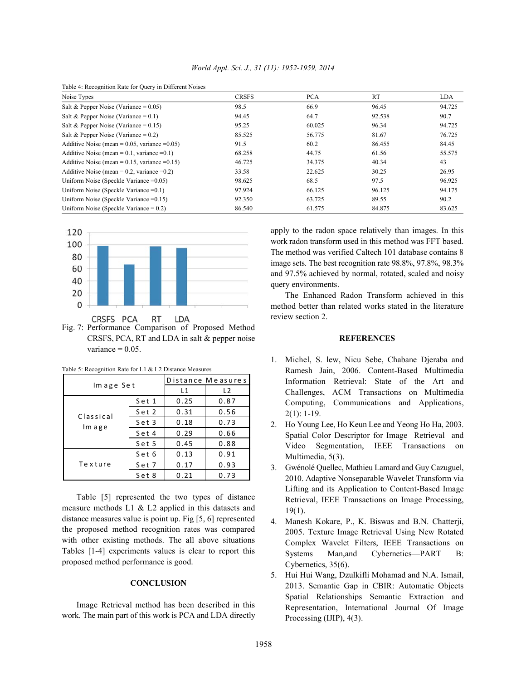| Table 4: Recognition Rate for Query in Different Noises |              |            |           |            |  |
|---------------------------------------------------------|--------------|------------|-----------|------------|--|
| Noise Types                                             | <b>CRSFS</b> | <b>PCA</b> | <b>RT</b> | <b>LDA</b> |  |
| Salt & Pepper Noise (Variance = $0.05$ )                | 98.5         | 66.9       | 96.45     | 94.725     |  |
| Salt & Pepper Noise (Variance = $0.1$ )                 | 94.45        | 64.7       | 92.538    | 90.7       |  |
| Salt & Pepper Noise (Variance = $0.15$ )                | 95.25        | 60.025     | 96.34     | 94.725     |  |
| Salt & Pepper Noise (Variance = $0.2$ )                 | 85.525       | 56.775     | 81.67     | 76.725     |  |
| Additive Noise (mean = $0.05$ , variance = $0.05$ )     | 91.5         | 60.2       | 86.455    | 84.45      |  |
| Additive Noise (mean = $0.1$ , variance = $0.1$ )       | 68.258       | 44.75      | 61.56     | 55.575     |  |
| Additive Noise (mean = $0.15$ , variance = $0.15$ )     | 46.725       | 34.375     | 40.34     | 43         |  |
| Additive Noise (mean = $0.2$ , variance = $0.2$ )       | 33.58        | 22.625     | 30.25     | 26.95      |  |
| Uniform Noise (Speckle Variance $=0.05$ )               | 98.625       | 68.5       | 97.5      | 96.925     |  |
| Uniform Noise (Speckle Variance $=0.1$ )                | 97.924       | 66.125     | 96.125    | 94.175     |  |
| Uniform Noise (Speckle Variance $=0.15$ )               | 92.350       | 63.725     | 89.55     | 90.2       |  |
| Uniform Noise (Speckle Variance $= 0.2$ )               | 86.540       | 61.575     | 84.875    | 83.625     |  |



Fig. 7: Performance Comparison of Proposed Method CRSFS, PCA, RT and LDA in salt & pepper noise **REFERENCES** variance  $= 0.05$ .

|           |       | Distance Measures |                |  |
|-----------|-------|-------------------|----------------|--|
| Image Set |       | L1                | L <sub>2</sub> |  |
|           | Set 1 | 0.25              | 0.87           |  |
| Classical | Set 2 | 0.31              | 0.56           |  |
|           | Set 3 | 0.18              | 0.73           |  |
| Im age    | Set 4 | 0.29              | 0.66           |  |
|           | Set 5 | 0.45              | 0.88           |  |
|           | Set 6 | 0.13              | 0.91           |  |
| Texture   | Set 7 | 0.17              | 0.93           |  |
|           | Set 8 | 0.21              | 0.73           |  |

Table 5: Recognition Rate for L1 & L2 Distance Measures

Table [5] represented the two types of distance measure methods L1 & L2 applied in this datasets and distance measures value is point up. Fig [5, 6] represented the proposed method recognition rates was compared with other existing methods. The all above situations Tables [1-4] experiments values is clear to report this proposed method performance is good.

# **CONCLUSION**

Image Retrieval method has been described in this work. The main part of this work is PCA and LDA directly apply to the radon space relatively than images. In this work radon transform used in this method was FFT based. The method was verified Caltech 101 database contains 8 image sets. The best recognition rate 98.8%, 97.8%, 98.3% and 97.5% achieved by normal, rotated, scaled and noisy query environments.

The Enhanced Radon Transform achieved in this method better than related works stated in the literature review section 2.

- 1. Michel, S. lew, Nicu Sebe, Chabane Djeraba and Ramesh Jain, 2006. Content-Based Multimedia Information Retrieval: State of the Art and Challenges, ACM Transactions on Multimedia Computing, Communications and Applications,  $2(1): 1-19.$
- 2. Ho Young Lee, Ho Keun Lee and Yeong Ho Ha, 2003. Spatial Color Descriptor for Image Retrieval and Video Segmentation, IEEE Transactions on Multimedia, 5(3).
- 3. Gwénolé Quellec, Mathieu Lamard and Guy Cazuguel, 2010. Adaptive Nonseparable Wavelet Transform via Lifting and its Application to Content-Based Image Retrieval, IEEE Transactions on Image Processing, 19(1).
- 4. Manesh Kokare, P., K. Biswas and B.N. Chatterji, 2005. Texture Image Retrieval Using New Rotated Complex Wavelet Filters, IEEE Transactions on Systems Man,and Cybernetics—PART B: Cybernetics, 35(6).
- 5. Hui Hui Wang, Dzulkifli Mohamad and N.A. Ismail, 2013. Semantic Gap in CBIR: Automatic Objects Spatial Relationships Semantic Extraction and Representation, International Journal Of Image Processing (IJIP), 4(3).